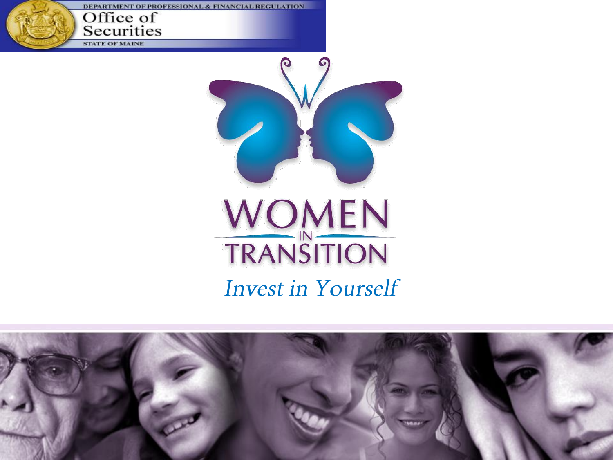

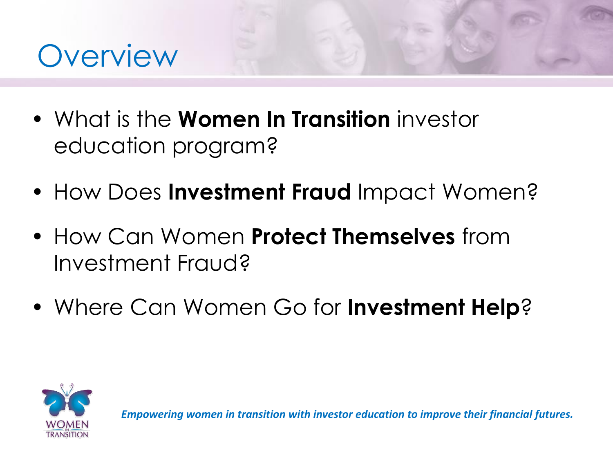

- What is the **Women In Transition** investor education program?
- How Does **Investment Fraud** Impact Women?
- How Can Women **Protect Themselves** from Investment Fraud?
- Where Can Women Go for **Investment Help**?

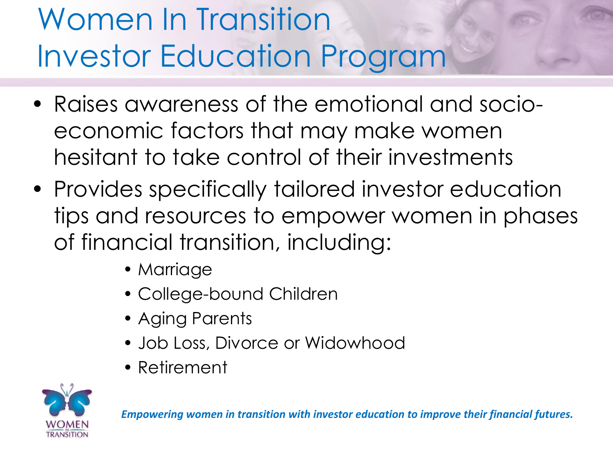# Women In Transition Investor Education Program

- Raises awareness of the emotional and socioeconomic factors that may make women hesitant to take control of their investments
- Provides specifically tailored investor education tips and resources to empower women in phases of financial transition, including:
	- Marriage
	- College-bound Children
	- Aging Parents
	- Job Loss, Divorce or Widowhood
	- Retirement

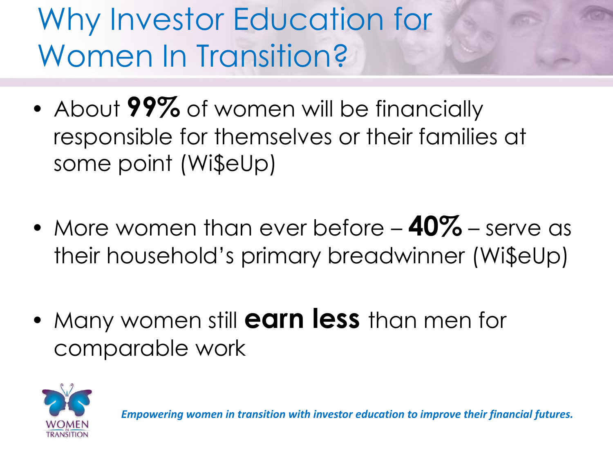## Why Investor Education for Women In Transition?

- About **99%** of women will be financially responsible for themselves or their families at some point (Wi\$eUp)
- More women than ever before **40%** serve as their household's primary breadwinner (Wi\$eUp)
- Many women still **earn less** than men for comparable work

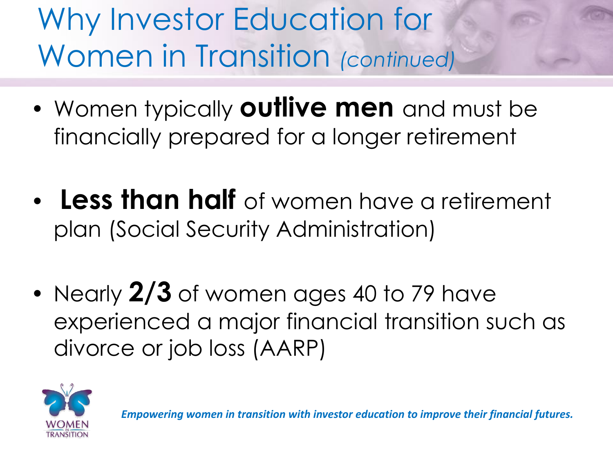## Why Investor Education for Women in Transition *(continued)*

- Women typically **outlive men** and must be financially prepared for a longer retirement
- **Less than half** of women have a retirement plan (Social Security Administration)
- Nearly **2/3** of women ages 40 to 79 have experienced a major financial transition such as divorce or job loss (AARP)

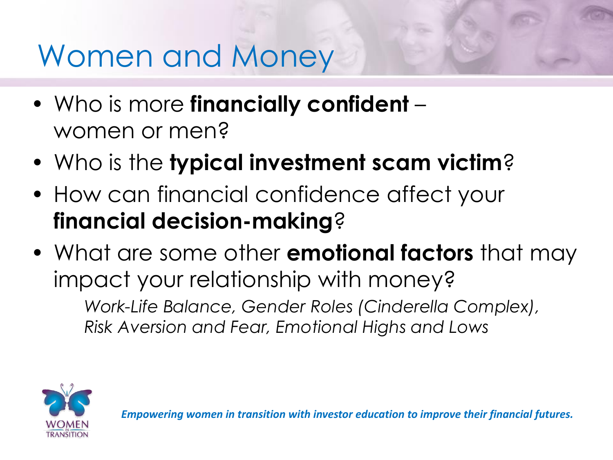## Women and Money

- Who is more **financially confident**  women or men?
- Who is the **typical investment scam victim**?
- How can financial confidence affect your **financial decision-making**?
- What are some other **emotional factors** that may impact your relationship with money?

*Work-Life Balance, Gender Roles (Cinderella Complex), Risk Aversion and Fear, Emotional Highs and Lows*

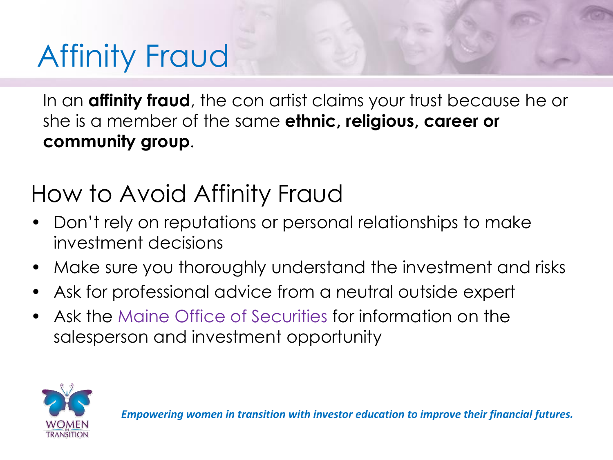# **Affinity Fraud**

In an **affinity fraud**, the con artist claims your trust because he or she is a member of the same **ethnic, religious, career or community group**.

#### How to Avoid Affinity Fraud

- Don't rely on reputations or personal relationships to make investment decisions
- Make sure you thoroughly understand the investment and risks
- Ask for professional advice from a neutral outside expert
- Ask the Maine Office of Securities for information on the salesperson and investment opportunity

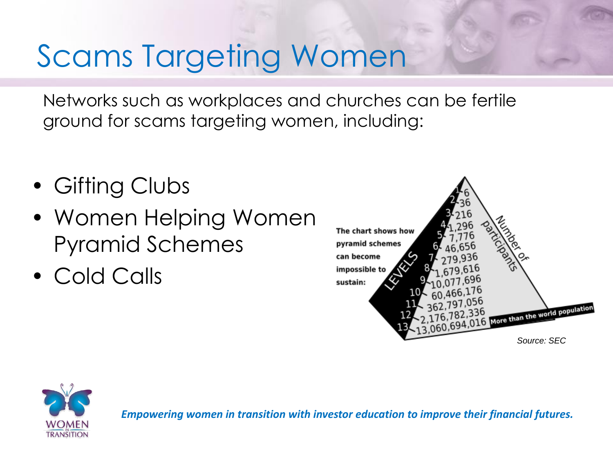## Scams Targeting Women

Networks such as workplaces and churches can be fertile ground for scams targeting women, including:

- Gifting Clubs
- Women Helping Women Pyramid Schemes
- Cold Calls



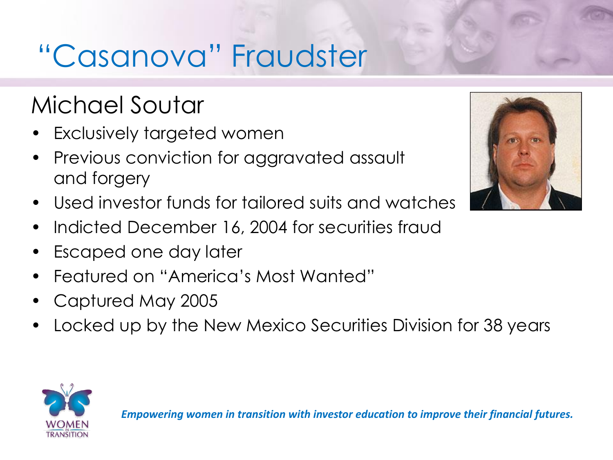## "Casanova" Fraudster

#### Michael Soutar

- Exclusively targeted women
- Previous conviction for aggravated assault and forgery
- Used investor funds for tailored suits and watches
- Indicted December 16, 2004 for securities fraud
- Escaped one day later
- Featured on "America's Most Wanted"
- Captured May 2005
- Locked up by the New Mexico Securities Division for 38 years



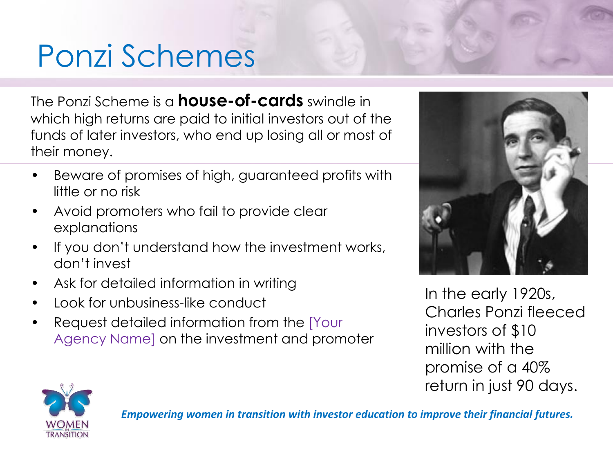## Ponzi Schemes

The Ponzi Scheme is a **house-of-cards** swindle in which high returns are paid to initial investors out of the funds of later investors, who end up losing all or most of their money.

- Beware of promises of high, guaranteed profits with little or no risk
- Avoid promoters who fail to provide clear explanations
- If you don't understand how the investment works, don't invest
- Ask for detailed information in writing
- Look for unbusiness-like conduct
- Request detailed information from the [Your Agency Name] on the investment and promoter



In the early 1920s, Charles Ponzi fleeced investors of \$10 million with the promise of a 40% return in just 90 days.

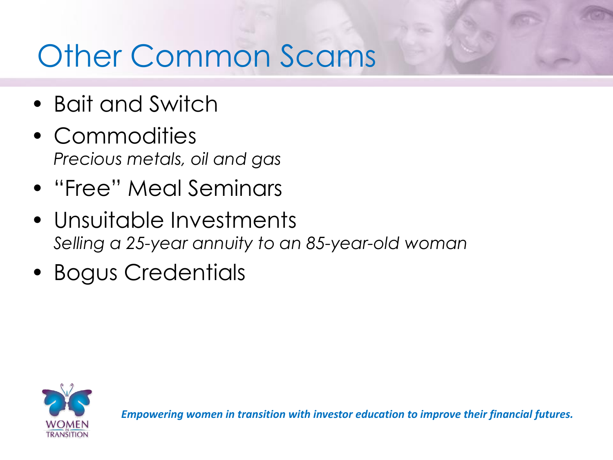## Other Common Scams

- Bait and Switch
- Commodities *Precious metals, oil and gas*
- "Free" Meal Seminars
- Unsuitable Investments *Selling a 25-year annuity to an 85-year-old woman*
- Bogus Credentials

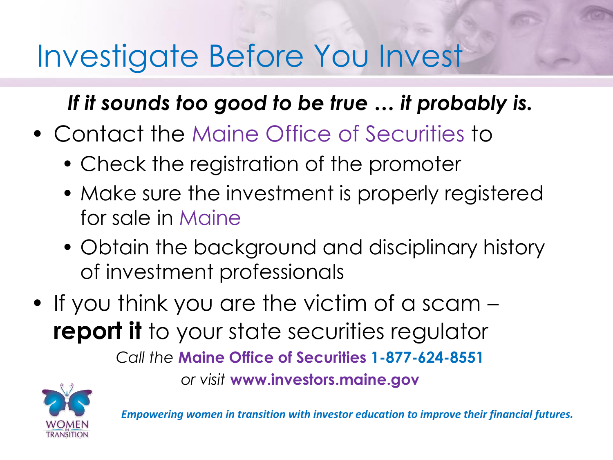#### Investigate Before You Invest

*If it sounds too good to be true … it probably is.*

- Contact the Maine Office of Securities to
	- Check the registration of the promoter
	- Make sure the investment is properly registered for sale in Maine
	- Obtain the background and disciplinary history of investment professionals
- If you think you are the victim of a scam **report it** to your state securities regulator *Call the* **Maine Office of Securities 1-877-624-8551**

*or visit* **www.investors.maine.gov**

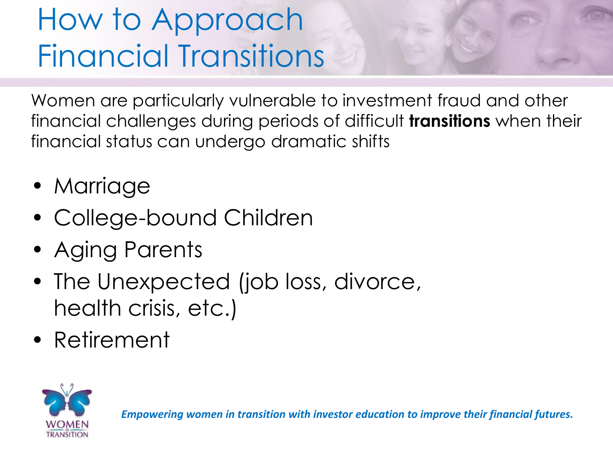# How to Approach Financial Transitions

Women are particularly vulnerable to investment fraud and other financial challenges during periods of difficult **transitions** when their financial status can undergo dramatic shifts

- Marriage
- College-bound Children
- Aging Parents
- The Unexpected (job loss, divorce, health crisis, etc.)
- Retirement

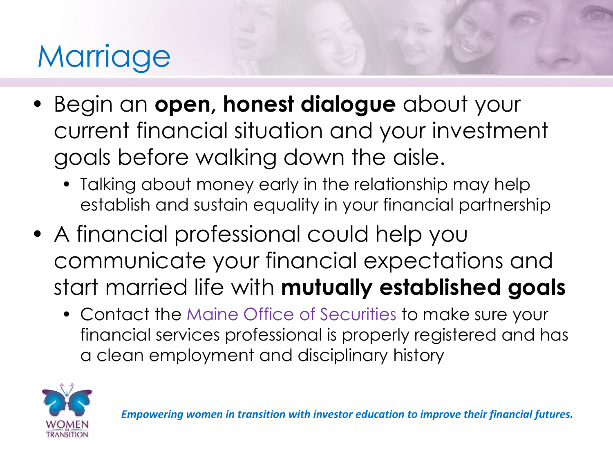## **Marriage**

- Begin an **open, honest dialogue** about your current financial situation and your investment goals before walking down the aisle.
	- Talking about money early in the relationship may help establish and sustain equality in your financial partnership
- A financial professional could help you communicate your financial expectations and start married life with **mutually established goals**
	- Contact the Maine Office of Securities to make sure your financial services professional is properly registered and has a clean employment and disciplinary history

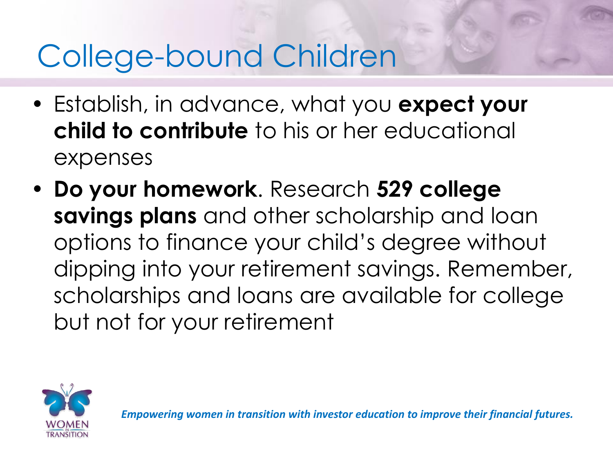## College-bound Children

- Establish, in advance, what you **expect your child to contribute** to his or her educational expenses
- **Do your homework**. Research **529 college savings plans** and other scholarship and loan options to finance your child's degree without dipping into your retirement savings. Remember, scholarships and loans are available for college but not for your retirement

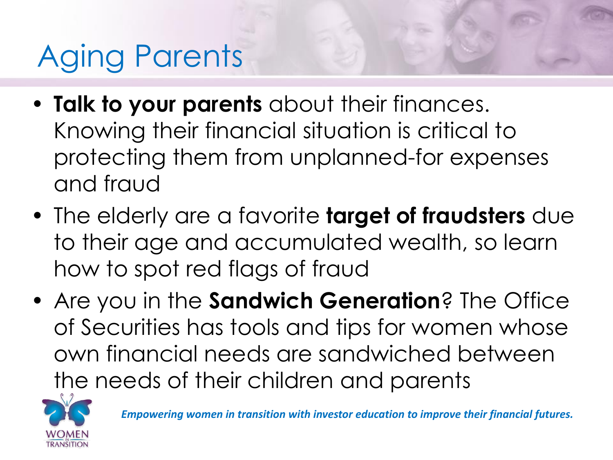# Aging Parents

- **Talk to your parents** about their finances. Knowing their financial situation is critical to protecting them from unplanned-for expenses and fraud
- The elderly are a favorite **target of fraudsters** due to their age and accumulated wealth, so learn how to spot red flags of fraud
- Are you in the **Sandwich Generation**? The Office of Securities has tools and tips for women whose own financial needs are sandwiched between the needs of their children and parents

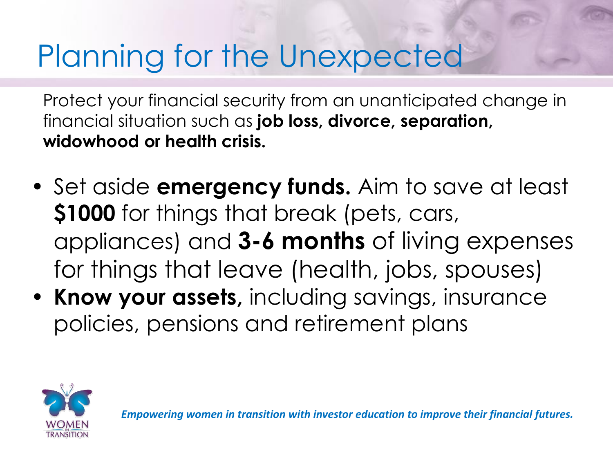## Planning for the Unexpected

Protect your financial security from an unanticipated change in financial situation such as **job loss, divorce, separation, widowhood or health crisis.** 

- Set aside **emergency funds.** Aim to save at least **\$1000** for things that break (pets, cars, appliances) and **3-6 months** of living expenses for things that leave (health, jobs, spouses)
- **Know your assets,** including savings, insurance policies, pensions and retirement plans

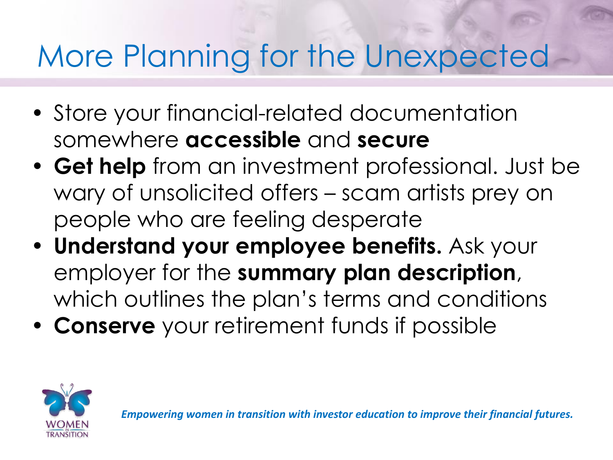## More Planning for the Unexpected

- Store your financial-related documentation somewhere **accessible** and **secure**
- **Get help** from an investment professional. Just be wary of unsolicited offers – scam artists prey on people who are feeling desperate
- **Understand your employee benefits.** Ask your employer for the **summary plan description**, which outlines the plan's terms and conditions
- **Conserve** your retirement funds if possible

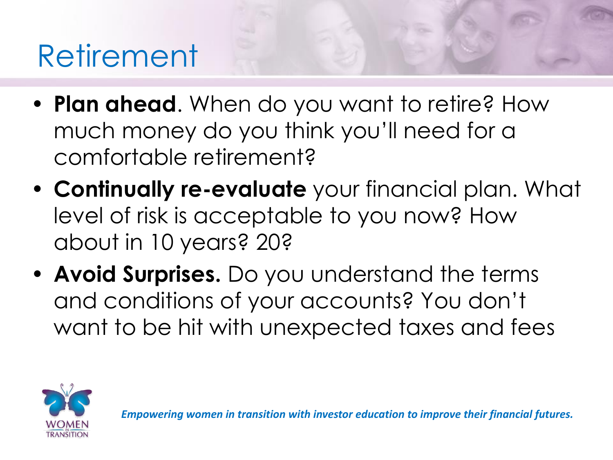## Retirement

- **Plan ahead**. When do you want to retire? How much money do you think you'll need for a comfortable retirement?
- **Continually re-evaluate** your financial plan. What level of risk is acceptable to you now? How about in 10 years? 20?
- **Avoid Surprises.** Do you understand the terms and conditions of your accounts? You don't want to be hit with unexpected taxes and fees

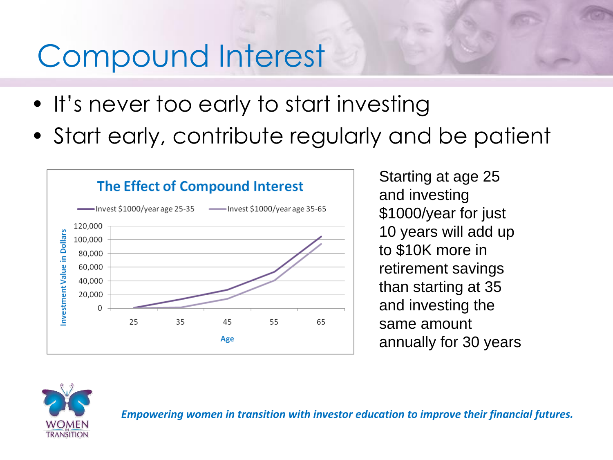## Compound Interest

- It's never too early to start investing
- Start early, contribute regularly and be patient



Starting at age 25 and investing \$1000/year for just 10 years will add up to \$10K more in retirement savings than starting at 35 and investing the same amount annually for 30 years

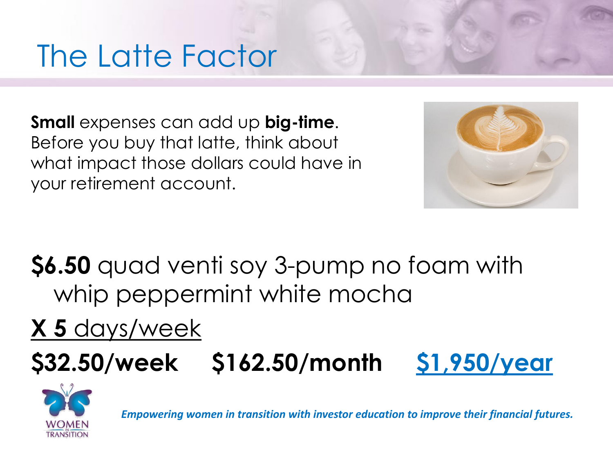### The Latte Factor

**Small** expenses can add up **big-time**. Before you buy that latte, think about what impact those dollars could have in your retirement account.



**\$6.50** quad venti soy 3-pump no foam with whip peppermint white mocha

#### **X 5** days/week

#### **\$32.50/week \$162.50/month \$1,950/year**

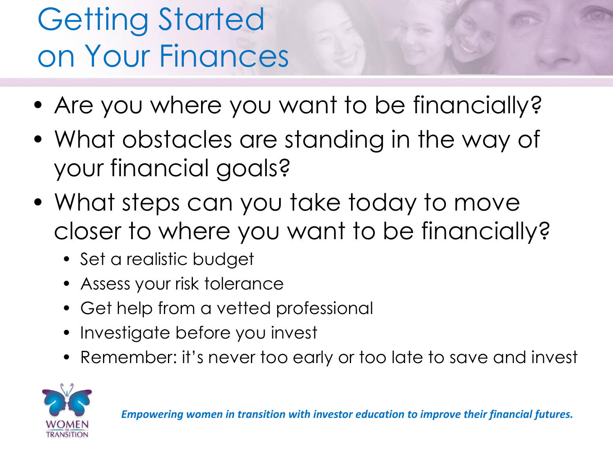# Getting Started on Your Finances

- Are you where you want to be financially?
- What obstacles are standing in the way of your financial goals?
- What steps can you take today to move closer to where you want to be financially?
	- Set a realistic budget
	- Assess your risk tolerance
	- Get help from a vetted professional
	- Investigate before you invest
	- Remember: it's never too early or too late to save and invest